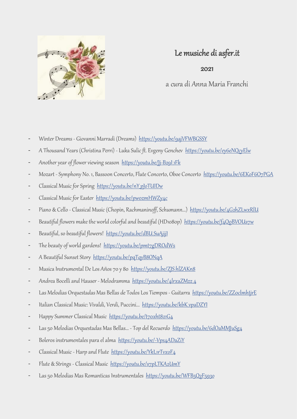

## Le musiche di asfer.it

2021

a cura di Anna Maria Franchi

- Winter Dreams Giovanni Marradi (Dreams) <https://youtu.be/9ajVFWBGSSY>
- A Thousand Years (Christina Perri) Luka Sulic ft. Evgeny Genchev <https://youtu.be/ey6eNQcyElw>
- Another year of flower viewing season https://youtu.be/]j-B2911Fk
- Mozart Symphony No. 1, Bassoon Concerto, Flute Concerto, Oboe Concerto <https://youtu.be/6EKoF6O7PGA>
- Classical Music for Spring https://youtu.be/nYpJoTUIDw
- Classical Music for Easter https://youtu.be/pwozmHWZy4c
- Piano & Cello Classical Music (Chopin, Rachmaninoff, Schumann...) <https://youtu.be/4G2hZLwxRlU>
- Beautiful flowers make the world colorful and beautiful (HD1080p)<https://youtu.be/f4Q0BVOUs7w>
- Beautiful, so beautiful flowers! https://youtu.be/dBU SuAjijl
- The beauty of world gardens! <https://youtu.be/pmt7gDROdWs>
- A Beautiful Sunset Story <https://youtu.be/pqTqyB8ONqA>
- Musica Instrumental De Los Años 70 y 80 https://youtu.be/ZJS hlZAKn8
- Andrea Bocelli and Hauser Melodramma https://youtu.be/4lrxaZMzz4
- Las Melodias Orquestadas Mas Bellas de Todos Los Tiempos Guitarra https://voutu.be/ZZ0clmhtjrE
- Italian Classical Music: Vivaldi, Verdi, Puccini... https://youtu.be/kbK vpaDZYI
- Happy Summer Classical Music <https://youtu.be/t70xht821G4>
- Las 50 Melodias Orquestadas Mas Bellas... Top del Recuerdo <https://youtu.be/6dOaMMJuSg4>
- Boleros instrumentales para el alma <https://youtu.be/-Vps4ADaZiY>
- Classical Music Harp and Flute <https://youtu.be/YkL1rTvxoF4>
- Flute & Strings Classical Music <https://youtu.be/s7pLTKA2UmY>
- Las 50 Melodias Mas Romanticas Instrumentales https://youtu.be/WFB5Q2F5930